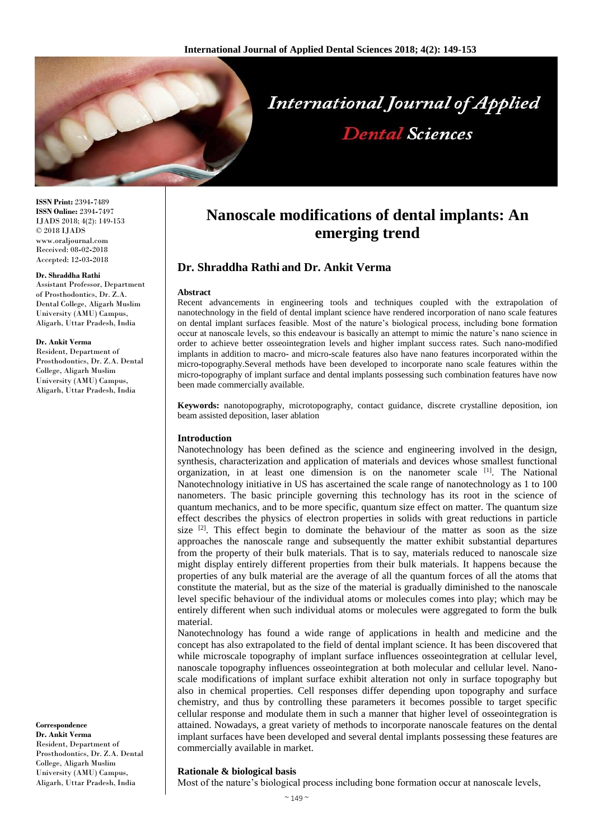

**ISSN Print:** 2394**-**7489 **ISSN Online:** 2394**-**7497 IJADS 2018; 4(2): 149-153 © 2018 IJADS www.oraljournal.com Received: 08**-**02**-**2018 Accepted: 12**-**03**-**2018

#### **Dr. Shraddha Rathi**

Assistant Professor, Department of Prosthodontics, Dr. Z.A. Dental College, Aligarh Muslim University (AMU) Campus, Aligarh, Uttar Pradesh, India

#### **Dr. Ankit Verma**

Resident, Department of Prosthodontics, Dr. Z.A. Dental College, Aligarh Muslim University (AMU) Campus, Aligarh, Uttar Pradesh, India

**Correspondence Dr. Ankit Verma** Resident, Department of Prosthodontics, Dr. Z.A. Dental College, Aligarh Muslim University (AMU) Campus, Aligarh, Uttar Pradesh, India

# **Nanoscale modifications of dental implants: An emerging trend**

# **Dr. Shraddha Rathi and Dr. Ankit Verma**

#### **Abstract**

Recent advancements in engineering tools and techniques coupled with the extrapolation of nanotechnology in the field of dental implant science have rendered incorporation of nano scale features on dental implant surfaces feasible. Most of the nature's biological process, including bone formation occur at nanoscale levels, so this endeavour is basically an attempt to mimic the nature's nano science in order to achieve better osseointegration levels and higher implant success rates. Such nano**-**modified implants in addition to macro**-** and micro**-**scale features also have nano features incorporated within the micro**-**topography.Several methods have been developed to incorporate nano scale features within the micro**-**topography of implant surface and dental implants possessing such combination features have now been made commercially available.

**Keywords:** nanotopography, microtopography, contact guidance, discrete crystalline deposition, ion beam assisted deposition, laser ablation

#### **Introduction**

Nanotechnology has been defined as the science and engineering involved in the design, synthesis, characterization and application of materials and devices whose smallest functional organization, in at least one dimension is on the nanometer scale  $[1]$ . The National Nanotechnology initiative in US has ascertained the scale range of nanotechnology as 1 to 100 nanometers. The basic principle governing this technology has its root in the science of quantum mechanics, and to be more specific, quantum size effect on matter. The quantum size effect describes the physics of electron properties in solids with great reductions in particle size  $[2]$ . This effect begin to dominate the behaviour of the matter as soon as the size approaches the nanoscale range and subsequently the matter exhibit substantial departures from the property of their bulk materials. That is to say, materials reduced to nanoscale size might display entirely different properties from their bulk materials. It happens because the properties of any bulk material are the average of all the quantum forces of all the atoms that constitute the material, but as the size of the material is gradually diminished to the nanoscale level specific behaviour of the individual atoms or molecules comes into play; which may be entirely different when such individual atoms or molecules were aggregated to form the bulk material.

Nanotechnology has found a wide range of applications in health and medicine and the concept has also extrapolated to the field of dental implant science. It has been discovered that while microscale topography of implant surface influences osseointegration at cellular level, nanoscale topography influences osseointegration at both molecular and cellular level. Nanoscale modifications of implant surface exhibit alteration not only in surface topography but also in chemical properties. Cell responses differ depending upon topography and surface chemistry, and thus by controlling these parameters it becomes possible to target specific cellular response and modulate them in such a manner that higher level of osseointegration is attained. Nowadays, a great variety of methods to incorporate nanoscale features on the dental implant surfaces have been developed and several dental implants possessing these features are commercially available in market.

## **Rationale & biological basis**

Most of the nature's biological process including bone formation occur at nanoscale levels,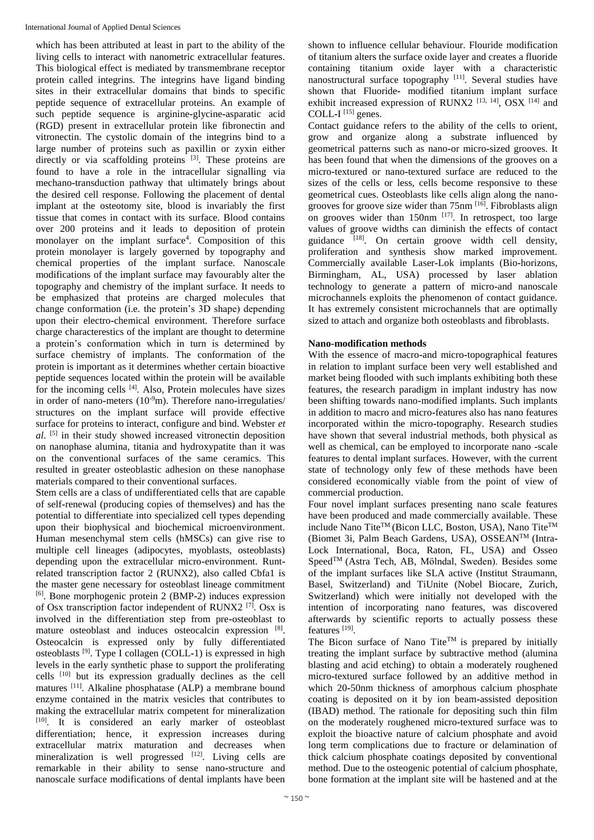which has been attributed at least in part to the ability of the living cells to interact with nanometric extracellular features. This biological effect is mediated by transmembrane receptor protein called integrins. The integrins have ligand binding sites in their extracellular domains that binds to specific peptide sequence of extracellular proteins. An example of such peptide sequence is arginine**-**glycine**-**asparatic acid (RGD) present in extracellular protein like fibronectin and vitronectin. The cystolic domain of the integrins bind to a large number of proteins such as paxillin or zyxin either directly or via scaffolding proteins <sup>[3]</sup>. These proteins are found to have a role in the intracellular signalling via mechano**-**transduction pathway that ultimately brings about the desired cell response. Following the placement of dental implant at the osteotomy site, blood is invariably the first tissue that comes in contact with its surface. Blood contains over 200 proteins and it leads to deposition of protein monolayer on the implant surface<sup>4</sup>. Composition of this protein monolayer is largely governed by topography and chemical properties of the implant surface. Nanoscale modifications of the implant surface may favourably alter the topography and chemistry of the implant surface. It needs to be emphasized that proteins are charged molecules that change conformation (i.e. the protein's 3D shape) depending upon their electro**-**chemical environment. Therefore surface charge characterestics of the implant are thought to determine a protein's conformation which in turn is determined by surface chemistry of implants. The conformation of the protein is important as it determines whether certain bioactive peptide sequences located within the protein will be available for the incoming cells [4]. Also, Protein molecules have sizes in order of nano**-**meters (10**-**<sup>9</sup>m). Therefore nano**-**irregulaties/ structures on the implant surface will provide effective surface for proteins to interact, configure and bind. Webster *et al*. [5] in their study showed increased vitronectin deposition on nanophase alumina, titania and hydroxypatite than it was on the conventional surfaces of the same ceramics. This resulted in greater osteoblastic adhesion on these nanophase materials compared to their conventional surfaces.

Stem cells are a class of undifferentiated cells that are capable of self**-**renewal (producing copies of themselves) and has the potential to differentiate into specialized cell types depending upon their biophysical and biochemical microenvironment. Human mesenchymal stem cells (hMSCs) can give rise to multiple cell lineages (adipocytes, myoblasts, osteoblasts) depending upon the extracellular micro**-**environment. Runtrelated transcription factor 2 (RUNX2), also called Cbfa1 is the master gene necessary for osteoblast lineage commitment [6]. Bone morphogenic protein 2 (BMP**-**2) induces expression of Osx transcription factor independent of RUNX2 [7]. Osx is involved in the differentiation step from pre**-**osteoblast to mature osteoblast and induces osteocalcin expression [8]. Osteocalcin is expressed only by fully differentiated osteoblasts [9]. Type I collagen (COLL**-**1) is expressed in high levels in the early synthetic phase to support the proliferating cells [10] but its expression gradually declines as the cell matures [11]. Alkaline phosphatase (ALP) a membrane bound enzyme contained in the matrix vesicles that contributes to making the extracellular matrix competent for mineralization [10]. It is considered an early marker of osteoblast differentiation; hence, it expression increases during extracellular matrix maturation and decreases when mineralization is well progressed  $[12]$ . Living cells are remarkable in their ability to sense nano**-**structure and nanoscale surface modifications of dental implants have been

shown to influence cellular behaviour. Flouride modification of titanium alters the surface oxide layer and creates a fluoride containing titanium oxide layer with a characteristic nanostructural surface topography [11]. Several studies have shown that Fluoride**-** modified titanium implant surface exhibit increased expression of RUNX2<sup>[13, 14]</sup>, OSX<sup>[14]</sup> and COLL**-**I [15] genes.

Contact guidance refers to the ability of the cells to orient, grow and organize along a substrate influenced by geometrical patterns such as nano**-**or micro**-**sized grooves. It has been found that when the dimensions of the grooves on a micro**-**textured or nano**-**textured surface are reduced to the sizes of the cells or less, cells become responsive to these geometrical cues. Osteoblasts like cells align along the nanogrooves for groove size wider than 75nm [16]. Fibroblasts align on grooves wider than  $150$ nm  $^{[17]}$ . In retrospect, too large values of groove widths can diminish the effects of contact guidance  $[18]$ . On certain groove width cell density, proliferation and synthesis show marked improvement. Commercially available Laser**-**Lok implants (Bio**-**horizons, Birmingham, AL, USA) processed by laser ablation technology to generate a pattern of micro**-**and nanoscale microchannels exploits the phenomenon of contact guidance. It has extremely consistent microchannels that are optimally sized to attach and organize both osteoblasts and fibroblasts.

## **Nano-modification methods**

With the essence of macro**-**and micro**-**topographical features in relation to implant surface been very well established and market being flooded with such implants exhibiting both these features, the research paradigm in implant industry has now been shifting towards nano**-**modified implants. Such implants in addition to macro and micro**-**features also has nano features incorporated within the micro**-**topography. Research studies have shown that several industrial methods, both physical as well as chemical, can be employed to incorporate nano **-**scale features to dental implant surfaces. However, with the current state of technology only few of these methods have been considered economically viable from the point of view of commercial production.

Four novel implant surfaces presenting nano scale features have been produced and made commercially available. These include Nano Tite™ (Bicon LLC, Boston, USA), Nano Tite™ (Biomet 3i, Palm Beach Gardens, USA), OSSEANTM (Intra**-**Lock International, Boca, Raton, FL, USA) and Osseo Speed<sup>™</sup> (Astra Tech, AB, Mölndal, Sweden). Besides some of the implant surfaces like SLA active (Institut Straumann, Basel, Switzerland) and TiUnite (Nobel Biocare, Zurich, Switzerland) which were initially not developed with the intention of incorporating nano features, was discovered afterwards by scientific reports to actually possess these features<sup>[19]</sup>.

The Bicon surface of Nano Tite<sup>TM</sup> is prepared by initially treating the implant surface by subtractive method (alumina blasting and acid etching) to obtain a moderately roughened micro**-**textured surface followed by an additive method in which 20**-**50nm thickness of amorphous calcium phosphate coating is deposited on it by ion beam**-**assisted deposition (IBAD) method. The rationale for depositing such thin film on the moderately roughened micro**-**textured surface was to exploit the bioactive nature of calcium phosphate and avoid long term complications due to fracture or delamination of thick calcium phosphate coatings deposited by conventional method. Due to the osteogenic potential of calcium phosphate, bone formation at the implant site will be hastened and at the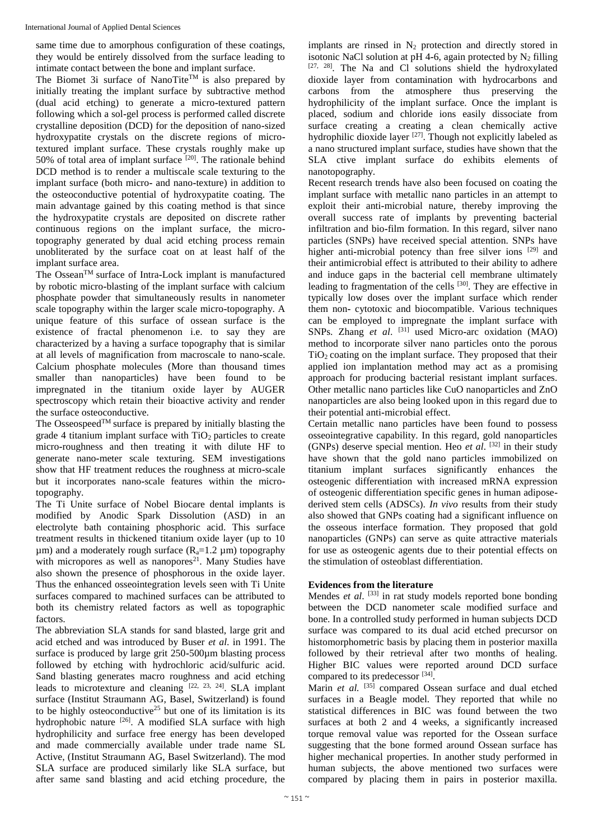same time due to amorphous configuration of these coatings, they would be entirely dissolved from the surface leading to intimate contact between the bone and implant surface.

The Biomet 3i surface of NanoTite<sup>TM</sup> is also prepared by initially treating the implant surface by subtractive method (dual acid etching) to generate a micro**-**textured pattern following which a sol**-**gel process is performed called discrete crystalline deposition (DCD) for the deposition of nano**-**sized hydroxypatite crystals on the discrete regions of microtextured implant surface. These crystals roughly make up 50% of total area of implant surface  $[20]$ . The rationale behind DCD method is to render a multiscale scale texturing to the implant surface (both micro**-** and nano**-**texture) in addition to the osteoconductive potential of hydroxypatite coating. The main advantage gained by this coating method is that since the hydroxypatite crystals are deposited on discrete rather continuous regions on the implant surface, the microtopography generated by dual acid etching process remain unobliterated by the surface coat on at least half of the implant surface area.

The OsseanTM surface of Intra**-**Lock implant is manufactured by robotic micro**-**blasting of the implant surface with calcium phosphate powder that simultaneously results in nanometer scale topography within the larger scale micro**-**topography. A unique feature of this surface of ossean surface is the existence of fractal phenomenon i.e. to say they are characterized by a having a surface topography that is similar at all levels of magnification from macroscale to nano**-**scale. Calcium phosphate molecules (More than thousand times smaller than nanoparticles) have been found to be impregnated in the titanium oxide layer by AUGER spectroscopy which retain their bioactive activity and render the surface osteoconductive.

The Osseospeed<sup>TM</sup> surface is prepared by initially blasting the grade 4 titanium implant surface with  $TiO<sub>2</sub>$  particles to create micro**-**roughness and then treating it with dilute HF to generate nano**-**meter scale texturing. SEM investigations show that HF treatment reduces the roughness at micro**-**scale but it incorporates nano**-**scale features within the microtopography.

The Ti Unite surface of Nobel Biocare dental implants is modified by Anodic Spark Dissolution (ASD) in an electrolyte bath containing phosphoric acid. This surface treatment results in thickened titanium oxide layer (up to 10  $\mu$ m) and a moderately rough surface (R<sub>a</sub>=1.2  $\mu$ m) topography with micropores as well as nanopores<sup>21</sup>. Many Studies have also shown the presence of phosphorous in the oxide layer. Thus the enhanced osseointegration levels seen with Ti Unite surfaces compared to machined surfaces can be attributed to both its chemistry related factors as well as topographic factors.

The abbreviation SLA stands for sand blasted, large grit and acid etched and was introduced by Buser *et al*. in 1991. The surface is produced by large grit 250**-**500µm blasting process followed by etching with hydrochloric acid/sulfuric acid. Sand blasting generates macro roughness and acid etching leads to microtexture and cleaning  $[22, 23, 24]$ . SLA implant surface (Institut Straumann AG, Basel, Switzerland) is found to be highly osteoconductive<sup>25</sup> but one of its limitation is its hydrophobic nature [26]. A modified SLA surface with high hydrophilicity and surface free energy has been developed and made commercially available under trade name SL Active, (Institut Straumann AG, Basel Switzerland). The mod SLA surface are produced similarly like SLA surface, but after same sand blasting and acid etching procedure, the

implants are rinsed in  $N_2$  protection and directly stored in isotonic NaCl solution at pH 4-6, again protected by  $N_2$  filling  $[27, 28]$ . The Na and Cl solutions shield the hydroxylated dioxide layer from contamination with hydrocarbons and carbons from the atmosphere thus preserving the hydrophilicity of the implant surface. Once the implant is placed, sodium and chloride ions easily dissociate from surface creating a creating a clean chemically active hydrophilic dioxide layer<sup>[27]</sup>. Though not explicitly labeled as a nano structured implant surface, studies have shown that the SLA ctive implant surface do exhibits elements of nanotopography.

Recent research trends have also been focused on coating the implant surface with metallic nano particles in an attempt to exploit their anti**-**microbial nature, thereby improving the overall success rate of implants by preventing bacterial infiltration and bio**-**film formation. In this regard, silver nano particles (SNPs) have received special attention. SNPs have higher anti-microbial potency than free silver ions <sup>[29]</sup> and their antimicrobial effect is attributed to their ability to adhere and induce gaps in the bacterial cell membrane ultimately leading to fragmentation of the cells <sup>[30]</sup>. They are effective in typically low doses over the implant surface which render them non**-** cytotoxic and biocompatible. Various techniques can be employed to impregnate the implant surface with SNPs. Zhang *et al.* <sup>[31]</sup> used Micro-arc oxidation (MAO) method to incorporate silver nano particles onto the porous  $TiO<sub>2</sub>$  coating on the implant surface. They proposed that their applied ion implantation method may act as a promising approach for producing bacterial resistant implant surfaces. Other metallic nano particles like CuO nanoparticles and ZnO nanoparticles are also being looked upon in this regard due to their potential anti**-**microbial effect.

Certain metallic nano particles have been found to possess osseointegrative capability. In this regard, gold nanoparticles (GNPs) deserve special mention. Heo *et al.* [32] in their study have shown that the gold nano particles immobilized on titanium implant surfaces significantly enhances the osteogenic differentiation with increased mRNA expression of osteogenic differentiation specific genes in human adiposederived stem cells (ADSCs). *In vivo* results from their study also showed that GNPs coating had a significant influence on the osseous interface formation. They proposed that gold nanoparticles (GNPs) can serve as quite attractive materials for use as osteogenic agents due to their potential effects on the stimulation of osteoblast differentiation.

## **Evidences from the literature**

Mendes *et al.* <sup>[33]</sup> in rat study models reported bone bonding between the DCD nanometer scale modified surface and bone. In a controlled study performed in human subjects DCD surface was compared to its dual acid etched precursor on histomorphometric basis by placing them in posterior maxilla followed by their retrieval after two months of healing. Higher BIC values were reported around DCD surface compared to its predecessor [34].

Marin et al. <sup>[35]</sup> compared Ossean surface and dual etched surfaces in a Beagle model. They reported that while no statistical differences in BIC was found between the two surfaces at both 2 and 4 weeks, a significantly increased torque removal value was reported for the Ossean surface suggesting that the bone formed around Ossean surface has higher mechanical properties. In another study performed in human subjects, the above mentioned two surfaces were compared by placing them in pairs in posterior maxilla.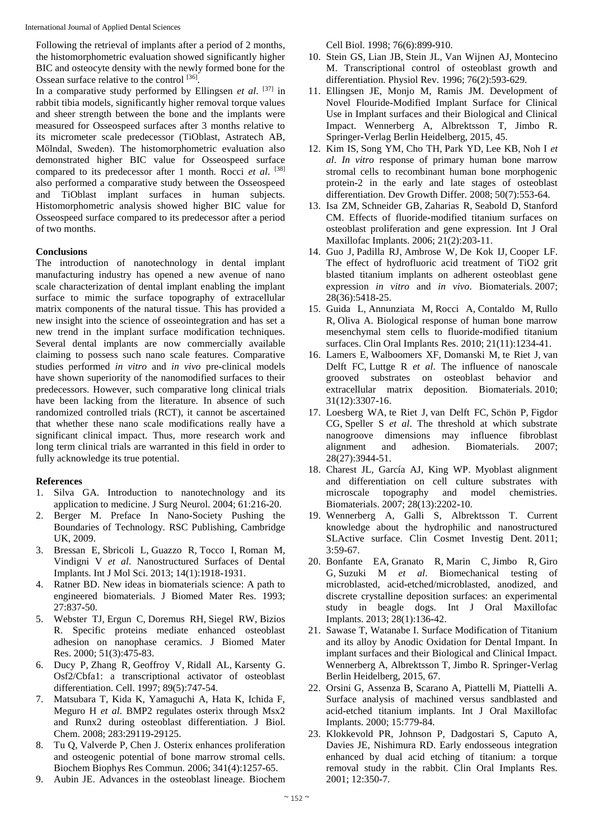Following the retrieval of implants after a period of 2 months, the histomorphometric evaluation showed significantly higher BIC and osteocyte density with the newly formed bone for the Ossean surface relative to the control [36].

In a comparative study performed by Ellingsen *et al*. [37] in rabbit tibia models, significantly higher removal torque values and sheer strength between the bone and the implants were measured for Osseospeed surfaces after 3 months relative to its micrometer scale predecessor (TiOblast, Astratech AB, Mölndal, Sweden). The histomorphometric evaluation also demonstrated higher BIC value for Osseospeed surface compared to its predecessor after 1 month. Rocci *et al*. [38] also performed a comparative study between the Osseospeed and TiOblast implant surfaces in human subjects. Histomorphometric analysis showed higher BIC value for Osseospeed surface compared to its predecessor after a period of two months.

## **Conclusions**

The introduction of nanotechnology in dental implant manufacturing industry has opened a new avenue of nano scale characterization of dental implant enabling the implant surface to mimic the surface topography of extracellular matrix components of the natural tissue. This has provided a new insight into the science of osseointegration and has set a new trend in the implant surface modification techniques. Several dental implants are now commercially available claiming to possess such nano scale features. Comparative studies performed *in vitro* and *in vivo* pre**-**clinical models have shown superiority of the nanomodified surfaces to their predecessors. However, such comparative long clinical trials have been lacking from the literature. In absence of such randomized controlled trials (RCT), it cannot be ascertained that whether these nano scale modifications really have a significant clinical impact. Thus, more research work and long term clinical trials are warranted in this field in order to fully acknowledge its true potential.

## **References**

- 1. Silva GA. Introduction to nanotechnology and its application to medicine. J Surg Neurol. 2004; 61:216**-**20.
- 2. Berger M. Preface In Nano**-**Society Pushing the Boundaries of Technology. RSC Publishing, Cambridge UK, 2009.
- 3. Bressan E, Sbricoli L, Guazzo R, Tocco I, Roman M, Vindigni V *et al*. Nanostructured Surfaces of Dental Implants. Int J Mol Sci. 2013; 14(1):1918**-**1931.
- 4. Ratner BD. New ideas in biomaterials science: A path to engineered biomaterials. J Biomed Mater Res. 1993; 27:837**-**50.
- 5. Webster TJ, Ergun C, Doremus RH, Siegel RW, Bizios R. Specific proteins mediate enhanced osteoblast adhesion on nanophase ceramics. J Biomed Mater Res. 2000; 51(3):475**-**83.
- 6. Ducy P, Zhang R, Geoffroy V, Ridall AL, Karsenty G. Osf2/Cbfa1: a transcriptional activator of osteoblast differentiation. Cell. 1997; 89(5):747**-**54.
- 7. Matsubara T, Kida K, Yamaguchi A, Hata K, Ichida F, Meguro H *et al*. BMP2 regulates osterix through Msx2 and Runx2 during osteoblast differentiation. J Biol. Chem. 2008; 283:29119**-**29125.
- 8. Tu Q, Valverde P, Chen J. Osterix enhances proliferation and osteogenic potential of bone marrow stromal cells. Biochem Biophys Res Commun. 2006; 341(4):1257**-**65.
- 9. Aubin JE. Advances in the osteoblast lineage. Biochem

Cell Biol. 1998; 76(6):899**-**910.

- 10. Stein GS, Lian JB, Stein JL, Van Wijnen AJ, Montecino M. Transcriptional control of osteoblast growth and differentiation. Physiol Rev. 1996; 76(2):593**-**629.
- 11. Ellingsen JE, Monjo M, Ramis JM. Development of Novel Flouride**-**Modified Implant Surface for Clinical Use in Implant surfaces and their Biological and Clinical Impact. Wennerberg A, Albrektsson T, Jimbo R. Springer**-**Verlag Berlin Heidelberg, 2015, 45.
- 12. Kim IS, Song YM, Cho TH, Park YD, Lee KB, Noh I *et al*. *In vitro* response of primary human bone marrow stromal cells to recombinant human bone morphogenic protein**-**2 in the early and late stages of osteoblast differentiation. Dev Growth Differ. 2008; 50(7):553**-**64.
- 13. Isa ZM, Schneider GB, Zaharias R, Seabold D, Stanford CM. Effects of fluoride**-**modified titanium surfaces on osteoblast proliferation and gene expression. Int J Oral Maxillofac Implants. 2006; 21(2):203**-**11.
- 14. Guo J, Padilla RJ, Ambrose W, De Kok IJ, Cooper LF. The effect of hydrofluoric acid treatment of TiO2 grit blasted titanium implants on adherent osteoblast gene expression *in vitro* and *in vivo*. Biomaterials. 2007; 28(36):5418**-**25.
- 15. Guida L, Annunziata M, Rocci A, Contaldo M, Rullo R, Oliva A. Biological response of human bone marrow mesenchymal stem cells to fluoride**-**modified titanium surfaces. Clin Oral Implants Res. 2010; 21(11):1234**-**41.
- 16. Lamers E, Walboomers XF, Domanski M, te Riet J, van Delft FC, Luttge R *et al*. The influence of nanoscale grooved substrates on osteoblast behavior and extracellular matrix deposition. Biomaterials. 2010; 31(12):3307**-**16.
- 17. Loesberg WA, te Riet J, van Delft FC, Schön P, Figdor CG, Speller S *et al*. The threshold at which substrate nanogroove dimensions may influence fibroblast alignment and adhesion. Biomaterials. 2007; 28(27):3944**-**51.
- 18. Charest JL, García AJ, King WP. Myoblast alignment and differentiation on cell culture substrates with microscale topography and model chemistries. Biomaterials. 2007; 28(13):2202**-**10.
- 19. Wennerberg A, Galli S, Albrektsson T. Current knowledge about the hydrophilic and nanostructured SLActive surface. Clin Cosmet Investig Dent. 2011; 3:59**-**67.
- 20. Bonfante EA, Granato R, Marin C, Jimbo R, Giro G, Suzuki M *et al*. Biomechanical testing of microblasted, acid**-**etched/microblasted, anodized, and discrete crystalline deposition surfaces: an experimental study in beagle dogs. Int J Oral Maxillofac Implants. 2013; 28(1):136**-**42.
- 21. Sawase T, Watanabe I. Surface Modification of Titanium and its alloy by Anodic Oxidation for Dental Impant. In implant surfaces and their Biological and Clinical Impact. Wennerberg A, Albrektsson T, Jimbo R. Springer**-**Verlag Berlin Heidelberg, 2015, 67.
- 22. Orsini G, Assenza B, Scarano A, Piattelli M, Piattelli A. Surface analysis of machined versus sandblasted and acid**-**etched titanium implants. Int J Oral Maxillofac Implants. 2000; 15:779**-**84.
- 23. Klokkevold PR, Johnson P, Dadgostari S, Caputo A, Davies JE, Nishimura RD. Early endosseous integration enhanced by dual acid etching of titanium: a torque removal study in the rabbit. Clin Oral Implants Res. 2001; 12:350**-**7.